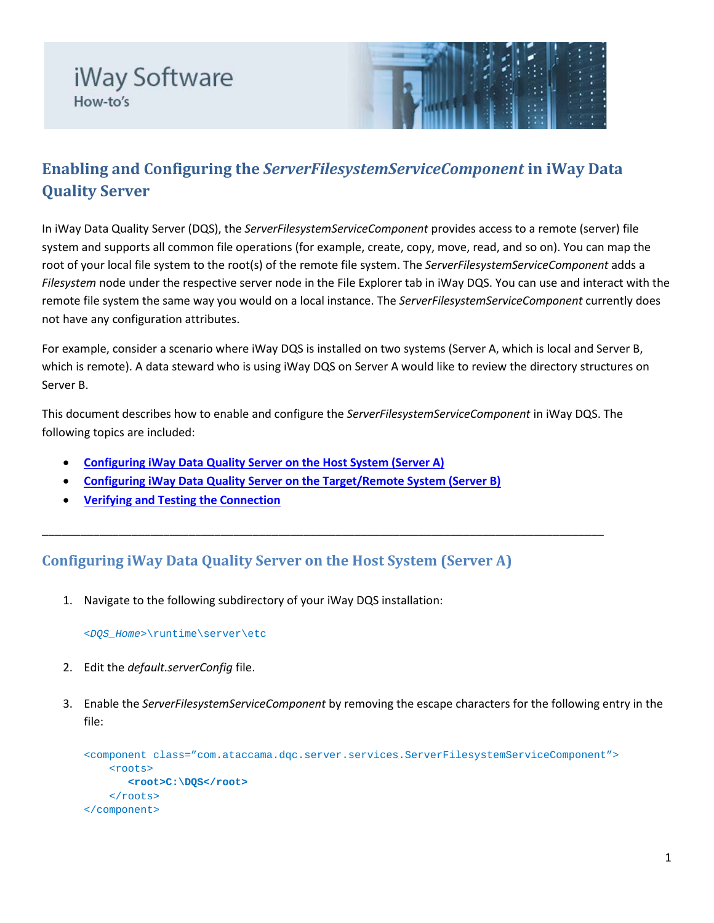



## **Enabling and Configuring the** *ServerFilesystemServiceComponent* **in iWay Data Quality Server**

In iWay Data Quality Server (DQS), the *ServerFilesystemServiceComponent* provides access to a remote (server) file system and supports all common file operations (for example, create, copy, move, read, and so on). You can map the root of your local file system to the root(s) of the remote file system. The *ServerFilesystemServiceComponent* adds a *Filesystem* node under the respective server node in the File Explorer tab in iWay DQS. You can use and interact with the remote file system the same way you would on a local instance. The *ServerFilesystemServiceComponent* currently does not have any configuration attributes.

For example, consider a scenario where iWay DQS is installed on two systems (Server A, which is local and Server B, which is remote). A data steward who is using iWay DQS on Server A would like to review the directory structures on Server B.

This document describes how to enable and configure the *ServerFilesystemServiceComponent* in iWay DQS. The following topics are included:

\_\_\_\_\_\_\_\_\_\_\_\_\_\_\_\_\_\_\_\_\_\_\_\_\_\_\_\_\_\_\_\_\_\_\_\_\_\_\_\_\_\_\_\_\_\_\_\_\_\_\_\_\_\_\_\_\_\_\_\_\_\_\_\_\_\_\_\_\_\_\_\_\_\_\_\_\_\_\_\_\_\_\_\_\_\_\_\_

- **[Configuring iWay Data Quality Server on the Host System \(Server A\)](#page-0-0)**
- **[Configuring iWay Data Quality Server on the Target/Remote System \(Server B\)](#page-2-0)**
- **[Verifying and Testing the Connection](#page-3-0)**

## <span id="page-0-0"></span>**Configuring iWay Data Quality Server on the Host System (Server A)**

1. Navigate to the following subdirectory of your iWay DQS installation:

*<DQS\_Home>*\runtime\server\etc

- 2. Edit the *default.serverConfig* file.
- 3. Enable the *ServerFilesystemServiceComponent* by removing the escape characters for the following entry in the file:

```
<component class="com.ataccama.dqc.server.services.ServerFilesystemServiceComponent">
     <roots>
        <root>C:\DQS</root>
     </roots>
</component>
```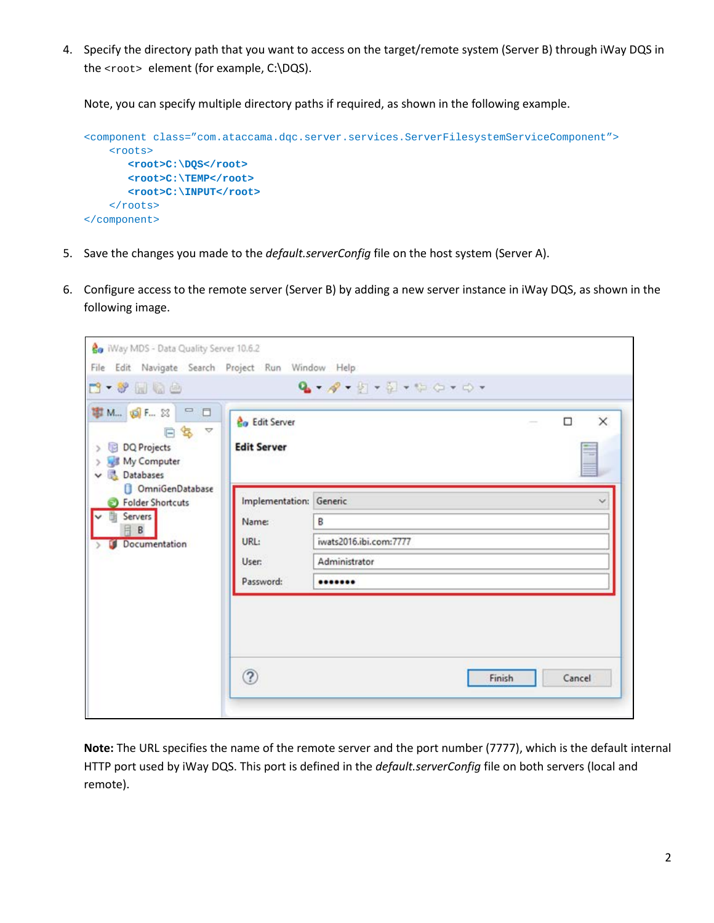4. Specify the directory path that you want to access on the target/remote system (Server B) through iWay DQS in the <root> element (for example, C:\DQS).

Note, you can specify multiple directory paths if required, as shown in the following example.

```
<component class="com.ataccama.dqc.server.services.ServerFilesystemServiceComponent">
    <roots>
        <root>C:\DQS</root>
       <root>C:\TEMP</root>
       <root>C:\INPUT</root>
    \langleroots>
</component>
```
- 5. Save the changes you made to the *default.serverConfig* file on the host system (Server A).
- 6. Configure access to the remote server (Server B) by adding a new server instance in iWay DQS, as shown in the following image.

| <b>Go</b> iWay MDS - Data Quality Server 10.6.2                                                                                                                                                    |                                                        |                                                             |               |
|----------------------------------------------------------------------------------------------------------------------------------------------------------------------------------------------------|--------------------------------------------------------|-------------------------------------------------------------|---------------|
| File Edit Navigate Search Project Run Window Help<br><b>1.4 Miles</b>                                                                                                                              |                                                        | $Q_2 - Q - P - P - P - P - P - P - P$                       |               |
| <b>事 M 回 F 33 □□□</b><br>日写 マ<br>DQ Projects<br>$\rightarrow$<br>My Computer<br>5<br>Databases<br>$\checkmark$<br>OmniGenDatabase<br>Folder Shortcuts<br><b>Servers</b><br>肙<br>B<br>Documentation | <b>Lo</b> Edit Server<br><b>Edit Server</b>            | $\Box$                                                      | $\times$<br>÷ |
|                                                                                                                                                                                                    | Implementation:<br>Name:<br>URL:<br>User:<br>Password: | Generic<br>B<br>iwats2016.ibi.com:7777<br>Administrator<br> |               |
|                                                                                                                                                                                                    | $\circled{?}$                                          | Finish                                                      | Cancel        |

**Note:** The URL specifies the name of the remote server and the port number (7777), which is the default internal HTTP port used by iWay DQS. This port is defined in the *default.serverConfig* file on both servers (local and remote).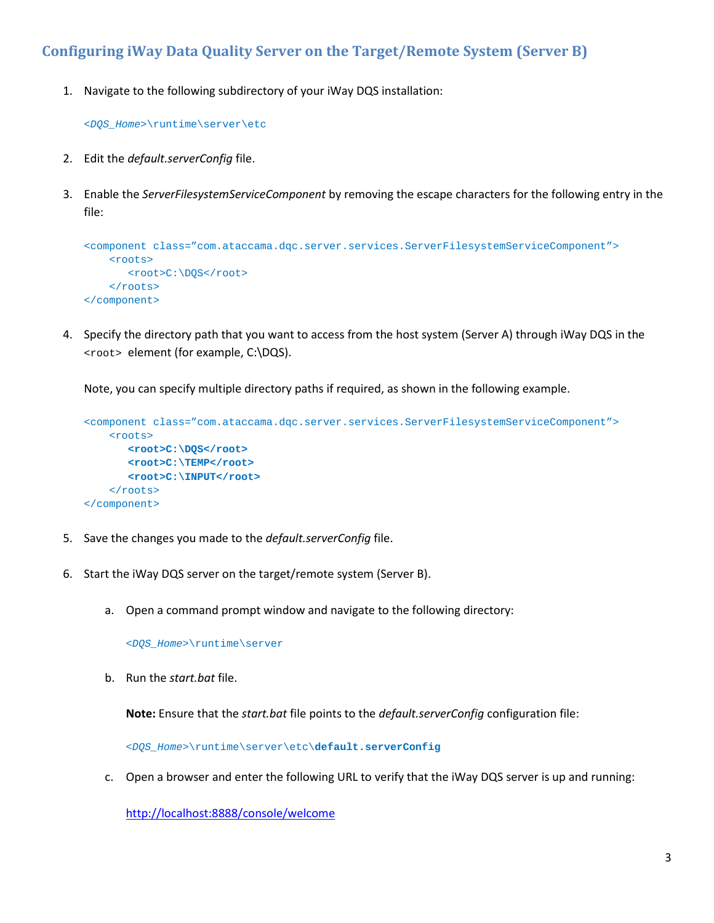## <span id="page-2-0"></span>**Configuring iWay Data Quality Server on the Target/Remote System (Server B)**

1. Navigate to the following subdirectory of your iWay DQS installation:

*<DQS\_Home>*\runtime\server\etc

- 2. Edit the *default.serverConfig* file.
- 3. Enable the *ServerFilesystemServiceComponent* by removing the escape characters for the following entry in the file:

```
<component class="com.ataccama.dqc.server.services.ServerFilesystemServiceComponent">
    <roots>
      <root>C:\DOS</root>
     </roots>
</component>
```
4. Specify the directory path that you want to access from the host system (Server A) through iWay DQS in the <root> element (for example, C:\DQS).

Note, you can specify multiple directory paths if required, as shown in the following example.

```
<component class="com.ataccama.dqc.server.services.ServerFilesystemServiceComponent">
     <roots>
       <root>C:\DQS</root>
      <root>C:\TEMP</root>
       <root>C:\INPUT</root>
     </roots>
</component>
```
- 5. Save the changes you made to the *default.serverConfig* file.
- 6. Start the iWay DQS server on the target/remote system (Server B).
	- a. Open a command prompt window and navigate to the following directory:

*<DQS\_Home>*\runtime\server

b. Run the *start.bat* file.

**Note:** Ensure that the *start.bat* file points to the *default.serverConfig* configuration file:

*<DQS\_Home>*\runtime\server\etc\**default.serverConfig** 

c. Open a browser and enter the following URL to verify that the iWay DQS server is up and running:

<http://localhost:8888/console/welcome>